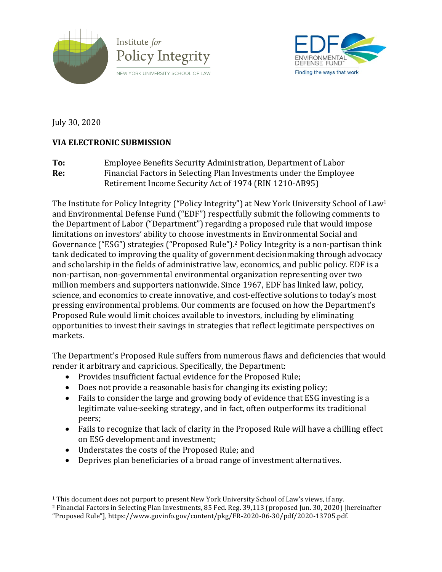



July 30, 2020

# **VIA ELECTRONIC SUBMISSION**

To: Employee Benefits Security Administration, Department of Labor **Re:** Financial Factors in Selecting Plan Investments under the Employee Retirement Income Security Act of 1974 (RIN 1210-AB95)

The Institute for Policy Integrity ("Policy Integrity") at New York University School of Law<sup>1</sup> and Environmental Defense Fund ("EDF") respectfully submit the following comments to the Department of Labor ("Department") regarding a proposed rule that would impose limitations on investors' ability to choose investments in Environmental Social and Governance ("ESG") strategies ("Proposed Rule").<sup>2</sup> Policy Integrity is a non-partisan think tank dedicated to improving the quality of government decisionmaking through advocacy and scholarship in the fields of administrative law, economics, and public policy. EDF is a non-partisan, non-governmental environmental organization representing over two million members and supporters nationwide. Since 1967, EDF has linked law, policy, science, and economics to create innovative, and cost-effective solutions to today's most pressing environmental problems. Our comments are focused on how the Department's Proposed Rule would limit choices available to investors, including by eliminating opportunities to invest their savings in strategies that reflect legitimate perspectives on markets. 

The Department's Proposed Rule suffers from numerous flaws and deficiencies that would render it arbitrary and capricious. Specifically, the Department:

- Provides insufficient factual evidence for the Proposed Rule;
- Does not provide a reasonable basis for changing its existing policy;
- Fails to consider the large and growing body of evidence that ESG investing is a legitimate value-seeking strategy, and in fact, often outperforms its traditional peers;
- Fails to recognize that lack of clarity in the Proposed Rule will have a chilling effect on ESG development and investment;
- Understates the costs of the Proposed Rule; and
- Deprives plan beneficiaries of a broad range of investment alternatives.

 $\overline{a}$  $1$  This document does not purport to present New York University School of Law's views, if any.

<sup>&</sup>lt;sup>2</sup> Financial Factors in Selecting Plan Investments, 85 Fed. Reg. 39,113 (proposed Jun. 30, 2020) [hereinafter

<sup>&</sup>quot;Proposed Rule"], https://www.govinfo.gov/content/pkg/FR-2020-06-30/pdf/2020-13705.pdf.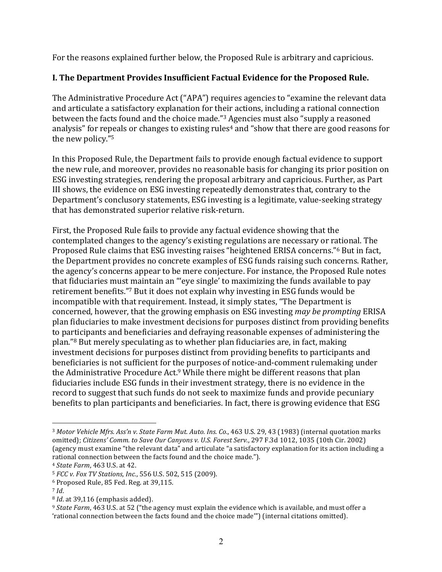For the reasons explained further below, the Proposed Rule is arbitrary and capricious.

## **I. The Department Provides Insufficient Factual Evidence for the Proposed Rule.**

The Administrative Procedure Act ("APA") requires agencies to "examine the relevant data and articulate a satisfactory explanation for their actions, including a rational connection between the facts found and the choice made."<sup>3</sup> Agencies must also "supply a reasoned analysis" for repeals or changes to existing rules<sup>4</sup> and "show that there are good reasons for the new policy."<sup>5</sup>

In this Proposed Rule, the Department fails to provide enough factual evidence to support the new rule, and moreover, provides no reasonable basis for changing its prior position on ESG investing strategies, rendering the proposal arbitrary and capricious. Further, as Part III shows, the evidence on ESG investing repeatedly demonstrates that, contrary to the Department's conclusory statements, ESG investing is a legitimate, value-seeking strategy that has demonstrated superior relative risk-return.

First, the Proposed Rule fails to provide any factual evidence showing that the contemplated changes to the agency's existing regulations are necessary or rational. The Proposed Rule claims that ESG investing raises "heightened ERISA concerns."<sup>6</sup> But in fact, the Department provides no concrete examples of ESG funds raising such concerns. Rather, the agency's concerns appear to be mere conjecture. For instance, the Proposed Rule notes that fiduciaries must maintain an "'eye single' to maximizing the funds available to pay retirement benefits."<sup>7</sup> But it does not explain why investing in ESG funds would be incompatible with that requirement. Instead, it simply states, "The Department is concerned, however, that the growing emphasis on ESG investing *may be prompting* ERISA plan fiduciaries to make investment decisions for purposes distinct from providing benefits to participants and beneficiaries and defraying reasonable expenses of administering the plan."<sup>8</sup> But merely speculating as to whether plan fiduciaries are, in fact, making investment decisions for purposes distinct from providing benefits to participants and beneficiaries is not sufficient for the purposes of notice-and-comment rulemaking under the Administrative Procedure Act.<sup>9</sup> While there might be different reasons that plan fiduciaries include ESG funds in their investment strategy, there is no evidence in the record to suggest that such funds do not seek to maximize funds and provide pecuniary benefits to plan participants and beneficiaries. In fact, there is growing evidence that ESG

<sup>&</sup>lt;sup>3</sup> Motor Vehicle Mfrs. Ass'n v. State Farm Mut. Auto. Ins. Co., 463 U.S. 29, 43 (1983) (internal quotation marks omitted); *Citizens' Comm. to Save Our Canyons v. U.S. Forest Serv.*, 297 F.3d 1012, 1035 (10th Cir. 2002) (agency must examine "the relevant data" and articulate "a satisfactory explanation for its action including a rational connection between the facts found and the choice made.").

<sup>4</sup> *State Farm*, 463 U.S. at 42.

<sup>&</sup>lt;sup>5</sup> *FCC* v. *Fox TV Stations, Inc.*, 556 U.S. 502, 515 (2009).

 $6$  Proposed Rule, 85 Fed. Reg. at 39,115.

<sup>7</sup> *Id*.

<sup>&</sup>lt;sup>8</sup> *Id*. at 39,116 (emphasis added).

<sup>&</sup>lt;sup>9</sup> *State Farm*, 463 U.S. at 52 ("the agency must explain the evidence which is available, and must offer a 'rational connection between the facts found and the choice made'") (internal citations omitted).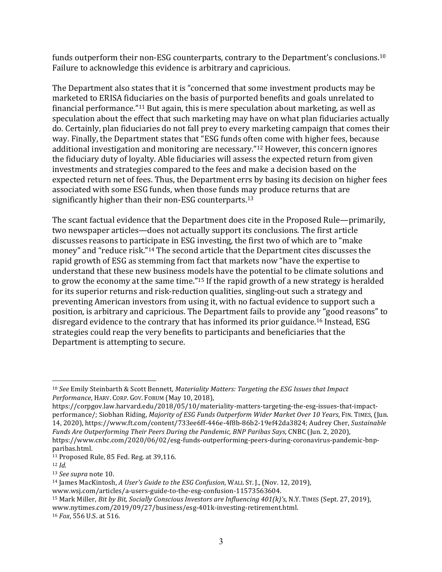funds outperform their non-ESG counterparts, contrary to the Department's conclusions. $^{10}$ Failure to acknowledge this evidence is arbitrary and capricious.

The Department also states that it is "concerned that some investment products may be marketed to ERISA fiduciaries on the basis of purported benefits and goals unrelated to financial performance."<sup>11</sup> But again, this is mere speculation about marketing, as well as speculation about the effect that such marketing may have on what plan fiduciaries actually do. Certainly, plan fiduciaries do not fall prey to every marketing campaign that comes their way. Finally, the Department states that "ESG funds often come with higher fees, because additional investigation and monitoring are necessary." $12$  However, this concern ignores the fiduciary duty of loyalty. Able fiduciaries will assess the expected return from given investments and strategies compared to the fees and make a decision based on the expected return net of fees. Thus, the Department errs by basing its decision on higher fees associated with some ESG funds, when those funds may produce returns that are significantly higher than their non-ESG counterparts.<sup>13</sup>

The scant factual evidence that the Department does cite in the Proposed Rule—primarily, two newspaper articles—does not actually support its conclusions. The first article discusses reasons to participate in ESG investing, the first two of which are to "make money" and "reduce risk."<sup>14</sup> The second article that the Department cites discusses the rapid growth of ESG as stemming from fact that markets now "have the expertise to understand that these new business models have the potential to be climate solutions and to grow the economy at the same time."<sup>15</sup> If the rapid growth of a new strategy is heralded for its superior returns and risk-reduction qualities, singling-out such a strategy and preventing American investors from using it, with no factual evidence to support such a position, is arbitrary and capricious. The Department fails to provide any "good reasons" to disregard evidence to the contrary that has informed its prior guidance.<sup>16</sup> Instead, ESG strategies could reap the very benefits to participants and beneficiaries that the Department is attempting to secure.

 $11$  Proposed Rule, 85 Fed. Reg. at 39,116.

<sup>&</sup>lt;sup>10</sup> See Emily Steinbarth & Scott Bennett, Materiality Matters: Targeting the ESG Issues that Impact Performance, HARV. CORP. GOV. FORUM (May 10, 2018),

https://corpgov.law.harvard.edu/2018/05/10/materiality-matters-targeting-the-esg-issues-that-impactperformance/; Siobhan Riding, *Majority of ESG Funds Outperform Wider Market Over 10 Years*, FIN. TIMES, (Jun. 14, 2020), https://www.ft.com/content/733ee6ff-446e-4f8b-86b2-19ef42da3824; Audrey Cher, Sustainable *Funds Are Outperforming Their Peers During the Pandemic, BNP Paribas Says, CNBC (Jun. 2, 2020),* https://www.cnbc.com/2020/06/02/esg-funds-outperforming-peers-during-coronavirus-pandemic-bnpparibas.html.

<sup>12</sup> *Id.*

<sup>&</sup>lt;sup>13</sup> *See supra* note 10.

<sup>&</sup>lt;sup>14</sup> James MacKintosh, *A User's Guide to the ESG Confusion*, WALL ST. J., (Nov. 12, 2019),

www.wsj.com/articles/a-users-guide-to-the-esg-confusion-11573563604.

<sup>&</sup>lt;sup>15</sup> Mark Miller, *Bit by Bit, Socially Conscious Investors are Influencing 401(k)'s, N.Y. TIMES (Sept. 27, 2019),* www.nytimes.com/2019/09/27/business/esg-401k-investing-retirement.html.

<sup>16</sup> *Fox*, 556 U.S. at 516.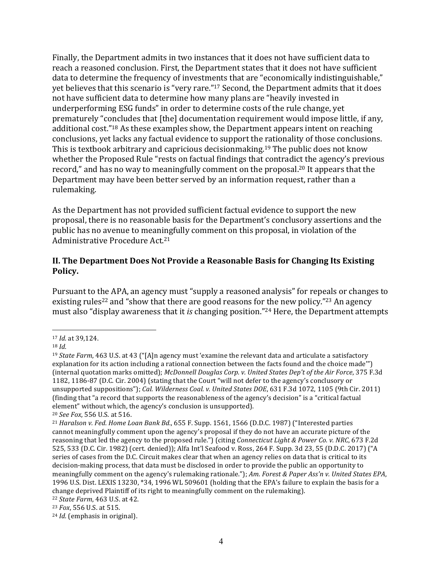Finally, the Department admits in two instances that it does not have sufficient data to reach a reasoned conclusion. First, the Department states that it does not have sufficient data to determine the frequency of investments that are "economically indistinguishable," yet believes that this scenario is "very rare."<sup>17</sup> Second, the Department admits that it does not have sufficient data to determine how many plans are "heavily invested in underperforming ESG funds" in order to determine costs of the rule change, yet prematurely "concludes that [the] documentation requirement would impose little, if any, additional cost."<sup>18</sup> As these examples show, the Department appears intent on reaching conclusions, yet lacks any factual evidence to support the rationality of those conclusions. This is textbook arbitrary and capricious decisionmaking.<sup>19</sup> The public does not know whether the Proposed Rule "rests on factual findings that contradict the agency's previous record," and has no way to meaningfully comment on the proposal.<sup>20</sup> It appears that the Department may have been better served by an information request, rather than a rulemaking. 

As the Department has not provided sufficient factual evidence to support the new proposal, there is no reasonable basis for the Department's conclusory assertions and the public has no avenue to meaningfully comment on this proposal, in violation of the Administrative Procedure Act.<sup>21</sup>

### **II. The Department Does Not Provide a Reasonable Basis for Changing Its Existing Policy.**

Pursuant to the APA, an agency must "supply a reasoned analysis" for repeals or changes to existing rules<sup>22</sup> and "show that there are good reasons for the new policy."<sup>23</sup> An agency must also "display awareness that it *is* changing position."<sup>24</sup> Here, the Department attempts

<sup>20</sup> *See Fox*, 556 U.S. at 516.

 $\overline{a}$ 17 *Id.* at 39,124.

<sup>18</sup> *Id.*

 $19$  *State Farm*, 463 U.S. at 43 ("[A]n agency must 'examine the relevant data and articulate a satisfactory explanation for its action including a rational connection between the facts found and the choice made"") (internal quotation marks omitted); *McDonnell Douglas Corp. v. United States Dep't of the Air Force*, 375 F.3d 1182, 1186-87 (D.C. Cir. 2004) (stating that the Court "will not defer to the agency's conclusory or unsupported suppositions"); *Cal. Wilderness Coal. v. United States DOE*, 631 F.3d 1072, 1105 (9th Cir. 2011) (finding that "a record that supports the reasonableness of the agency's decision" is a "critical factual element" without which, the agency's conclusion is unsupported).

<sup>&</sup>lt;sup>21</sup> *Haralson v. Fed. Home Loan Bank Bd.*, 655 F. Supp. 1561, 1566 (D.D.C. 1987) ("Interested parties cannot meaningfully comment upon the agency's proposal if they do not have an accurate picture of the reasoning that led the agency to the proposed rule.") (citing *Connecticut Light & Power Co. v. NRC*, 673 F.2d 525, 533 (D.C. Cir. 1982) (cert. denied)); Alfa Int'l Seafood v. Ross, 264 F. Supp. 3d 23, 55 (D.D.C. 2017) ("A series of cases from the D.C. Circuit makes clear that when an agency relies on data that is critical to its decision-making process, that data must be disclosed in order to provide the public an opportunity to meaningfully comment on the agency's rulemaking rationale."); Am. Forest & Paper Ass'n v. United States EPA, 1996 U.S. Dist. LEXIS 13230, \*34, 1996 WL 509601 (holding that the EPA's failure to explain the basis for a change deprived Plaintiff of its right to meaningfully comment on the rulemaking).

<sup>&</sup>lt;sup>22</sup> *State Farm*, 463 U.S. at 42.

<sup>&</sup>lt;sup>23</sup> *Fox*, 556 U.S. at 515.

<sup>&</sup>lt;sup>24</sup> *Id.* (emphasis in original).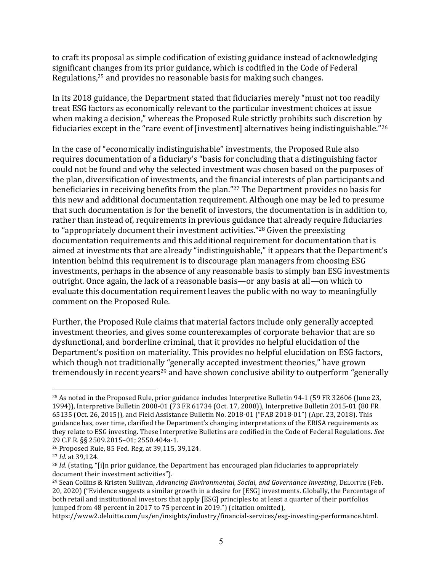to craft its proposal as simple codification of existing guidance instead of acknowledging significant changes from its prior guidance, which is codified in the Code of Federal Regulations, $25$  and provides no reasonable basis for making such changes.

In its 2018 guidance, the Department stated that fiduciaries merely "must not too readily treat ESG factors as economically relevant to the particular investment choices at issue when making a decision," whereas the Proposed Rule strictly prohibits such discretion by fiduciaries except in the "rare event of [investment] alternatives being indistinguishable."<sup>26</sup>

In the case of "economically indistinguishable" investments, the Proposed Rule also requires documentation of a fiduciary's "basis for concluding that a distinguishing factor could not be found and why the selected investment was chosen based on the purposes of the plan, diversification of investments, and the financial interests of plan participants and beneficiaries in receiving benefits from the plan."<sup>27</sup> The Department provides no basis for this new and additional documentation requirement. Although one may be led to presume that such documentation is for the benefit of investors, the documentation is in addition to, rather than instead of, requirements in previous guidance that already require fiduciaries to "appropriately document their investment activities."<sup>28</sup> Given the preexisting documentation requirements and this additional requirement for documentation that is aimed at investments that are already "indistinguishable," it appears that the Department's intention behind this requirement is to discourage plan managers from choosing ESG investments, perhaps in the absence of any reasonable basis to simply ban ESG investments outright. Once again, the lack of a reasonable basis—or any basis at all—on which to evaluate this documentation requirement leaves the public with no way to meaningfully comment on the Proposed Rule.

Further, the Proposed Rule claims that material factors include only generally accepted investment theories, and gives some counterexamples of corporate behavior that are so dysfunctional, and borderline criminal, that it provides no helpful elucidation of the Department's position on materiality. This provides no helpful elucidation on ESG factors, which though not traditionally "generally accepted investment theories," have grown tremendously in recent years<sup>29</sup> and have shown conclusive ability to outperform "generally

 $\overline{a}$ <sup>25</sup> As noted in the Proposed Rule, prior guidance includes Interpretive Bulletin 94-1 (59 FR 32606 (June 23, 1994)), Interpretive Bulletin 2008-01 (73 FR 61734 (Oct. 17, 2008)), Interpretive Bulletin 2015-01 (80 FR 65135 (Oct. 26, 2015)), and Field Assistance Bulletin No. 2018-01 ("FAB 2018-01") (Apr. 23, 2018). This guidance has, over time, clarified the Department's changing interpretations of the ERISA requirements as they relate to ESG investing. These Interpretive Bulletins are codified in the Code of Federal Regulations. See 29 C.F.R. §§ 2509.2015-01; 2550.404a-1.

<sup>&</sup>lt;sup>26</sup> Proposed Rule, 85 Fed. Reg. at 39,115, 39,124.

<sup>27</sup> *Id.* at 39,124.

<sup>&</sup>lt;sup>28</sup> *Id.* (stating, "[i]n prior guidance, the Department has encouraged plan fiduciaries to appropriately document their investment activities").

<sup>&</sup>lt;sup>29</sup> Sean Collins & Kristen Sullivan, *Advancing Environmental, Social, and Governance Investing*, DELOITTE (Feb. 20, 2020) ("Evidence suggests a similar growth in a desire for [ESG] investments. Globally, the Percentage of both retail and institutional investors that apply [ESG] principles to at least a quarter of their portfolios jumped from 48 percent in 2017 to 75 percent in 2019.") (citation omitted),

https://www2.deloitte.com/us/en/insights/industry/financial-services/esg-investing-performance.html.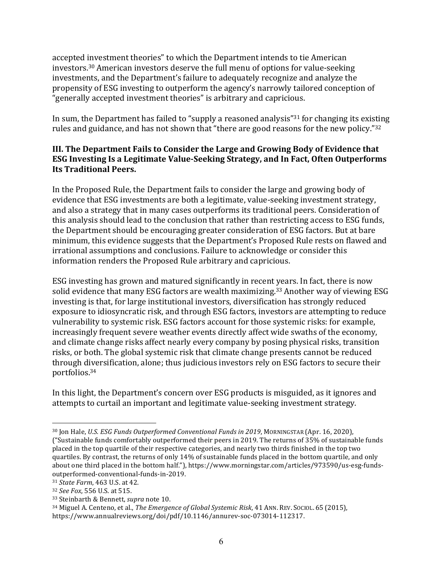accepted investment theories" to which the Department intends to tie American investors.<sup>30</sup> American investors deserve the full menu of options for value-seeking investments, and the Department's failure to adequately recognize and analyze the propensity of ESG investing to outperform the agency's narrowly tailored conception of "generally accepted investment theories" is arbitrary and capricious.

In sum, the Department has failed to "supply a reasoned analysis"<sup>31</sup> for changing its existing rules and guidance, and has not shown that "there are good reasons for the new policy." $32$ 

### **III.** The Department Fails to Consider the Large and Growing Body of Evidence that **ESG** Investing Is a Legitimate Value-Seeking Strategy, and In Fact, Often Outperforms **Its Traditional Peers.**

In the Proposed Rule, the Department fails to consider the large and growing body of evidence that ESG investments are both a legitimate, value-seeking investment strategy, and also a strategy that in many cases outperforms its traditional peers. Consideration of this analysis should lead to the conclusion that rather than restricting access to ESG funds, the Department should be encouraging greater consideration of ESG factors. But at bare minimum, this evidence suggests that the Department's Proposed Rule rests on flawed and irrational assumptions and conclusions. Failure to acknowledge or consider this information renders the Proposed Rule arbitrary and capricious.

ESG investing has grown and matured significantly in recent years. In fact, there is now solid evidence that many ESG factors are wealth maximizing.<sup>33</sup> Another way of viewing ESG investing is that, for large institutional investors, diversification has strongly reduced exposure to idiosyncratic risk, and through ESG factors, investors are attempting to reduce vulnerability to systemic risk. ESG factors account for those systemic risks: for example, increasingly frequent severe weather events directly affect wide swaths of the economy, and climate change risks affect nearly every company by posing physical risks, transition risks, or both. The global systemic risk that climate change presents cannot be reduced through diversification, alone; thus judicious investors rely on ESG factors to secure their portfolios.34 

In this light, the Department's concern over ESG products is misguided, as it ignores and attempts to curtail an important and legitimate value-seeking investment strategy.

<sup>&</sup>lt;sup>30</sup> Jon Hale, *U.S. ESG Funds Outperformed Conventional Funds in 2019*, MORNINGSTAR (Apr. 16, 2020), ("Sustainable funds comfortably outperformed their peers in 2019. The returns of 35% of sustainable funds placed in the top quartile of their respective categories, and nearly two thirds finished in the top two quartiles. By contrast, the returns of only 14% of sustainable funds placed in the bottom quartile, and only about one third placed in the bottom half."), https://www.morningstar.com/articles/973590/us-esg-fundsoutperformed-conventional-funds-in-2019. 

<sup>31</sup> *State Farm*, 463 U.S. at 42.

<sup>32</sup> *See Fox*, 556 U.S. at 515.

<sup>&</sup>lt;sup>33</sup> Steinbarth & Bennett, *supra* note 10.

<sup>&</sup>lt;sup>34</sup> Miguel A. Centeno, et al., *The Emergence of Global Systemic Risk*, 41 ANN. REV. SOCIOL. 65 (2015),

https://www.annualreviews.org/doi/pdf/10.1146/annurev-soc-073014-112317.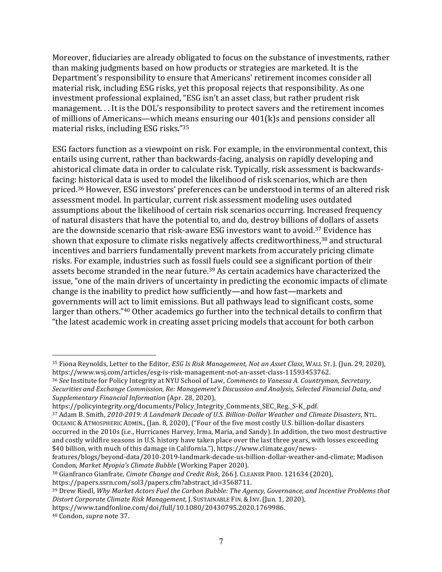Moreover, fiduciaries are already obligated to focus on the substance of investments, rather than making judgments based on how products or strategies are marketed. It is the Department's responsibility to ensure that Americans' retirement incomes consider all material risk, including ESG risks, yet this proposal rejects that responsibility. As one investment professional explained, "ESG isn't an asset class, but rather prudent risk management. . . It is the DOL's responsibility to protect savers and the retirement incomes of millions of Americans—which means ensuring our  $401(k)$ s and pensions consider all material risks, including ESG risks." $35$ 

ESG factors function as a viewpoint on risk. For example, in the environmental context, this entails using current, rather than backwards-facing, analysis on rapidly developing and ahistorical climate data in order to calculate risk. Typically, risk assessment is backwardsfacing: historical data is used to model the likelihood of risk scenarios, which are then priced.<sup>36</sup> However, ESG investors' preferences can be understood in terms of an altered risk assessment model. In particular, current risk assessment modeling uses outdated assumptions about the likelihood of certain risk scenarios occurring. Increased frequency of natural disasters that have the potential to, and do, destroy billions of dollars of assets are the downside scenario that risk-aware ESG investors want to avoid.<sup>37</sup> Evidence has shown that exposure to climate risks negatively affects creditworthiness,<sup>38</sup> and structural incentives and barriers fundamentally prevent markets from accurately pricing climate risks. For example, industries such as fossil fuels could see a significant portion of their assets become stranded in the near future.<sup>39</sup> As certain academics have characterized the issue, "one of the main drivers of uncertainty in predicting the economic impacts of climate change is the inability to predict how sufficiently—and how fast—markets and governments will act to limit emissions. But all pathways lead to significant costs, some larger than others."<sup>40</sup> Other academics go further into the technical details to confirm that "the latest academic work in creating asset pricing models that account for both carbon

<sup>&</sup>lt;sup>35</sup> Fiona Reynolds, Letter to the Editor, *ESG Is Risk Management, Not an Asset Class*, WALL ST. J. (Jun. 29, 2020), https://www.wsj.com/articles/esg-is-risk-management-not-an-asset-class-11593453762.

<sup>&</sup>lt;sup>36</sup> See Institute for Policy Integrity at NYU School of Law, *Comments to Vanessa A. Countryman, Secretary,* Securities and Exchange Commission, Re: Management's Discussion and Analysis, Selected Financial Data, and *Supplementary Financial Information* (Apr. 28, 2020), 

https://policyintegrity.org/documents/Policy\_Integrity\_Comments\_SEC\_Reg.\_S-K\_.pdf.

<sup>37</sup> Adam B. Smith, 2010-2019: A Landmark Decade of U.S. Billion-Dollar Weather and Climate Disasters, NTL. OCEANIC & ATMOSPHERIC ADMIN., (Jan. 8, 2020), ("Four of the five most costly U.S. billion-dollar disasters occurred in the 2010s (i.e., Hurricanes Harvey, Irma, Maria, and Sandy). In addition, the two most destructive and costly wildfire seasons in U.S. history have taken place over the last three years, with losses exceeding \$40 billion, with much of this damage in California."), https://www.climate.gov/news-

features/blogs/beyond-data/2010-2019-landmark-decade-us-billion-dollar-weather-and-climate; Madison Condon, Market Myopia's Climate Bubble (Working Paper 2020).

<sup>&</sup>lt;sup>38</sup> Gianfranco Gianfrate, *Cimate Change and Credit Risk*, 266 J. CLEANER PROD. 121634 (2020),

https://papers.ssrn.com/sol3/papers.cfm?abstract\_id=3568711.

<sup>&</sup>lt;sup>39</sup> Drew Riedl, *Why Market Actors Fuel the Carbon Bubble: The Agency, Governance, and Incentive Problems that Distort Corporate Climate Risk Management*, J. SUSTAINABLE FIN. & INV. (Jun. 1, 2020),

https://www.tandfonline.com/doi/full/10.1080/20430795.2020.1769986. <sup>40</sup> Condon, *supra* note 37.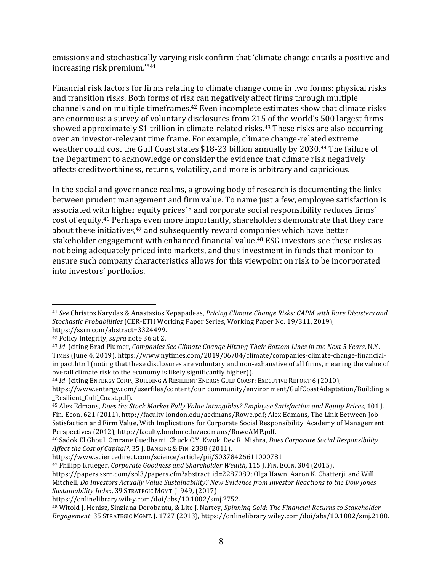emissions and stochastically varying risk confirm that 'climate change entails a positive and increasing risk premium."<sup>41</sup>

Financial risk factors for firms relating to climate change come in two forms: physical risks and transition risks. Both forms of risk can negatively affect firms through multiple channels and on multiple timeframes.<sup>42</sup> Even incomplete estimates show that climate risks are enormous: a survey of voluntary disclosures from 215 of the world's 500 largest firms showed approximately \$1 trillion in climate-related risks.<sup>43</sup> These risks are also occurring over an investor-relevant time frame. For example, climate change-related extreme weather could cost the Gulf Coast states \$18-23 billion annually by 2030.<sup>44</sup> The failure of the Department to acknowledge or consider the evidence that climate risk negatively affects creditworthiness, returns, volatility, and more is arbitrary and capricious.

In the social and governance realms, a growing body of research is documenting the links between prudent management and firm value. To name just a few, employee satisfaction is associated with higher equity prices<sup>45</sup> and corporate social responsibility reduces firms' cost of equity.<sup>46</sup> Perhaps even more importantly, shareholders demonstrate that they care about these initiatives, $47$  and subsequently reward companies which have better stakeholder engagement with enhanced financial value.<sup>48</sup> ESG investors see these risks as not being adequately priced into markets, and thus investment in funds that monitor to ensure such company characteristics allows for this viewpoint on risk to be incorporated into investors' portfolios.

 $\overline{a}$ 

<sup>44</sup> *Id.* (citing ENTERGY CORP., BUILDING A RESILIENT ENERGY GULF COAST: EXECUTIVE REPORT 6 (2010),

<sup>&</sup>lt;sup>41</sup> See Christos Karydas & Anastasios Xepapadeas, *Pricing Climate Change Risks: CAPM with Rare Disasters and Stochastic Probabilities* (CER-ETH Working Paper Series, Working Paper No. 19/311, 2019), https://ssrn.com/abstract=3324499.

<sup>&</sup>lt;sup>42</sup> Policy Integrity, *supra* note 36 at 2.

<sup>&</sup>lt;sup>43</sup> *Id.* (citing Brad Plumer, *Companies See Climate Change Hitting Their Bottom Lines in the Next 5 Years, N.Y.* TIMES (June 4, 2019), https://www.nytimes.com/2019/06/04/climate/companies-climate-change-financialimpact.html (noting that these disclosures are voluntary and non-exhaustive of all firms, meaning the value of overall climate risk to the economy is likely significantly higher).

https://www.entergy.com/userfiles/content/our\_community/environment/GulfCoastAdaptation/Building\_a \_Resilient\_Gulf\_Coast.pdf).

<sup>&</sup>lt;sup>45</sup> Alex Edmans, *Does the Stock Market Fully Value Intangibles? Employee Satisfaction and Equity Prices, 101 [.* Fin. Econ. 621 (2011), http://faculty.london.edu/aedmans/Rowe.pdf; Alex Edmans, The Link Between Job Satisfaction and Firm Value, With Implications for Corporate Social Responsibility, Academy of Management Perspectives (2012), http://faculty.london.edu/aedmans/RoweAMP.pdf.

<sup>&</sup>lt;sup>46</sup> Sadok El Ghoul, Omrane Guedhami, Chuck C.Y. Kwok, Dev R. Mishra, *Does Corporate Social Responsibility Affect the Cost of Capital?*, 35 J. BANKING & FIN. 2388 (2011), 

https://www.sciencedirect.com/science/article/pii/S0378426611000781. 

<sup>&</sup>lt;sup>47</sup> Philipp Krueger, *Corporate Goodness and Shareholder Wealth*, 115 J. FIN. ECON. 304 (2015),

https://papers.ssrn.com/sol3/papers.cfm?abstract\_id=2287089; Olga Hawn, Aaron K. Chatterji, and Will Mitchell, *Do Investors Actually Value Sustainability? New Evidence from Investor Reactions to the Dow Jones* Sustainability Index, 39 STRATEGIC MGMT. J. 949, (2017)

https://onlinelibrary.wiley.com/doi/abs/10.1002/smj.2752. 

<sup>48</sup> Witold J. Henisz, Sinziana Dorobantu, & Lite J. Nartey, *Spinning Gold: The Financial Returns to Stakeholder Engagement*, 35 STRATEGIC MGMT. J. 1727 (2013), https://onlinelibrary.wiley.com/doi/abs/10.1002/smj.2180.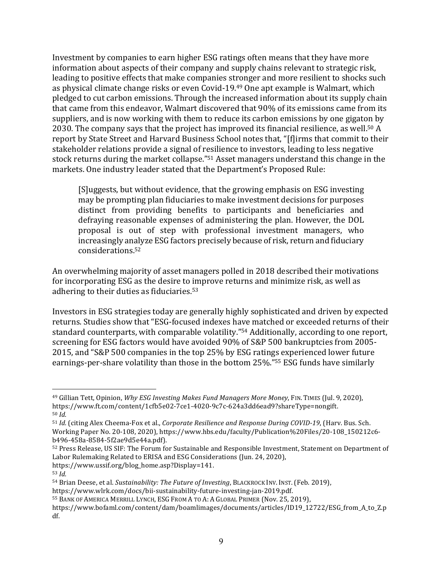Investment by companies to earn higher ESG ratings often means that they have more information about aspects of their company and supply chains relevant to strategic risk, leading to positive effects that make companies stronger and more resilient to shocks such as physical climate change risks or even Covid-19.<sup>49</sup> One apt example is Walmart, which pledged to cut carbon emissions. Through the increased information about its supply chain that came from this endeavor, Walmart discovered that 90% of its emissions came from its suppliers, and is now working with them to reduce its carbon emissions by one gigaton by 2030. The company says that the project has improved its financial resilience, as well.<sup>50</sup> A report by State Street and Harvard Business School notes that, "[f]irms that commit to their stakeholder relations provide a signal of resilience to investors, leading to less negative stock returns during the market collapse."<sup>51</sup> Asset managers understand this change in the markets. One industry leader stated that the Department's Proposed Rule:

[S]uggests, but without evidence, that the growing emphasis on ESG investing may be prompting plan fiduciaries to make investment decisions for purposes distinct from providing benefits to participants and beneficiaries and defraying reasonable expenses of administering the plan. However, the DOL proposal is out of step with professional investment managers, who increasingly analyze ESG factors precisely because of risk, return and fiduciary considerations.52

An overwhelming majority of asset managers polled in 2018 described their motivations for incorporating ESG as the desire to improve returns and minimize risk, as well as adhering to their duties as fiduciaries. $53$ 

Investors in ESG strategies today are generally highly sophisticated and driven by expected returns. Studies show that "ESG-focused indexes have matched or exceeded returns of their standard counterparts, with comparable volatility."<sup>54</sup> Additionally, according to one report, screening for ESG factors would have avoided 90% of S&P 500 bankruptcies from 2005-2015, and "S&P 500 companies in the top 25% by ESG ratings experienced lower future earnings-per-share volatility than those in the bottom 25%."<sup>55</sup> ESG funds have similarly

<sup>&</sup>lt;sup>49</sup> Gillian Tett, Opinion, *Why ESG Investing Makes Fund Managers More Money*, FIN. TIMES (Jul. 9, 2020), https://www.ft.com/content/1cfb5e02-7ce1-4020-9c7c-624a3dd6ead9?shareType=nongift. <sup>50</sup> *Id.*

<sup>51</sup> *Id.* (citing Alex Cheema-Fox et al., *Corporate Resilience and Response During COVID-19*, (Harv. Bus. Sch. Working Paper No. 20-108, 2020), https://www.hbs.edu/faculty/Publication%20Files/20-108\_150212c6b496-458a-8584-5f2ae9d5e44a.pdf). 

<sup>52</sup> Press Release, US SIF: The Forum for Sustainable and Responsible Investment, Statement on Department of Labor Rulemaking Related to ERISA and ESG Considerations (Jun. 24, 2020),

https://www.ussif.org/blog\_home.asp?Display=141.

 $53$  *Id.* 

<sup>54</sup> Brian Deese, et al. *Sustainability: The Future of Investing*, BLACKROCK INV. INST. (Feb. 2019),

https://www.wlrk.com/docs/bii-sustainability-future-investing-jan-2019.pdf.

<sup>55</sup> BANK OF AMERICA MERRILL LYNCH, ESG FROM A TO A: A GLOBAL PRIMER (Nov. 25, 2019),

https://www.bofaml.com/content/dam/boamlimages/documents/articles/ID19\_12722/ESG\_from\_A\_to\_Z.p df.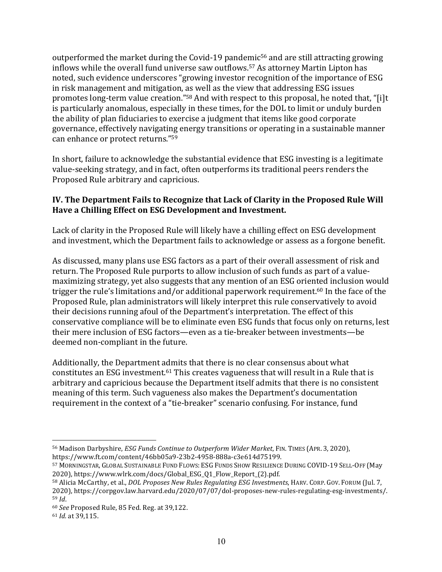outperformed the market during the Covid-19 pandemic<sup>56</sup> and are still attracting growing inflows while the overall fund universe saw outflows.<sup>57</sup> As attorney Martin Lipton has noted, such evidence underscores "growing investor recognition of the importance of ESG in risk management and mitigation, as well as the view that addressing ESG issues promotes long-term value creation."<sup>58</sup> And with respect to this proposal, he noted that, "[i]t is particularly anomalous, especially in these times, for the DOL to limit or unduly burden the ability of plan fiduciaries to exercise a judgment that items like good corporate governance, effectively navigating energy transitions or operating in a sustainable manner can enhance or protect returns."<sup>59</sup>

In short, failure to acknowledge the substantial evidence that ESG investing is a legitimate value-seeking strategy, and in fact, often outperforms its traditional peers renders the Proposed Rule arbitrary and capricious.

### **IV.** The Department Fails to Recognize that Lack of Clarity in the Proposed Rule Will Have a Chilling Effect on ESG Development and Investment.

Lack of clarity in the Proposed Rule will likely have a chilling effect on ESG development and investment, which the Department fails to acknowledge or assess as a forgone benefit.

As discussed, many plans use ESG factors as a part of their overall assessment of risk and return. The Proposed Rule purports to allow inclusion of such funds as part of a valuemaximizing strategy, yet also suggests that any mention of an ESG oriented inclusion would trigger the rule's limitations and/or additional paperwork requirement.<sup>60</sup> In the face of the Proposed Rule, plan administrators will likely interpret this rule conservatively to avoid their decisions running afoul of the Department's interpretation. The effect of this conservative compliance will be to eliminate even ESG funds that focus only on returns, lest their mere inclusion of ESG factors—even as a tie-breaker between investments—be deemed non-compliant in the future.

Additionally, the Department admits that there is no clear consensus about what constitutes an ESG investment.<sup>61</sup> This creates vagueness that will result in a Rule that is arbitrary and capricious because the Department itself admits that there is no consistent meaning of this term. Such vagueness also makes the Department's documentation requirement in the context of a "tie-breaker" scenario confusing. For instance, fund

 $\overline{a}$ 56 Madison Darbyshire, *ESG Funds Continue to Outperform Wider Market*, FIN. TIMES (APR. 3, 2020), https://www.ft.com/content/46bb05a9-23b2-4958-888a-c3e614d75199.

<sup>57</sup> MORNINGSTAR, GLOBAL SUSTAINABLE FUND FLOWS: ESG FUNDS SHOW RESILIENCE DURING COVID-19 SELL-OFF (May 2020), https://www.wlrk.com/docs/Global\_ESG\_01\_Flow\_Report (2).pdf.

<sup>58</sup> Alicia McCarthy, et al., *DOL Proposes New Rules Regulating ESG Investments*, HARV. CORP. GOV. FORUM (Jul. 7, 2020), https://corpgov.law.harvard.edu/2020/07/07/dol-proposes-new-rules-regulating-esg-investments/. <sup>59</sup> *Id*.

<sup>&</sup>lt;sup>60</sup> See Proposed Rule, 85 Fed. Reg. at 39,122.

<sup>61</sup> *Id.* at 39,115.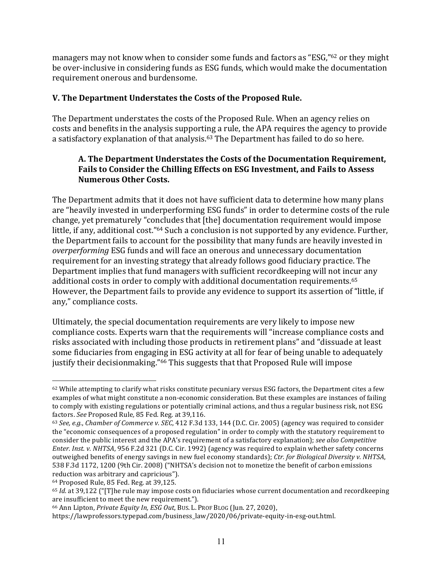managers may not know when to consider some funds and factors as "ESG,"<sup>62</sup> or they might be over-inclusive in considering funds as ESG funds, which would make the documentation requirement onerous and burdensome.

# **V. The Department Understates the Costs of the Proposed Rule.**

The Department understates the costs of the Proposed Rule. When an agency relies on costs and benefits in the analysis supporting a rule, the APA requires the agency to provide a satisfactory explanation of that analysis.<sup>63</sup> The Department has failed to do so here.

## A. The Department Understates the Costs of the Documentation Requirement, Fails to Consider the Chilling Effects on ESG Investment, and Fails to Assess **Numerous Other Costs.**

The Department admits that it does not have sufficient data to determine how many plans are "heavily invested in underperforming ESG funds" in order to determine costs of the rule change, yet prematurely "concludes that [the] documentation requirement would impose little, if any, additional cost."<sup>64</sup> Such a conclusion is not supported by any evidence. Further, the Department fails to account for the possibility that many funds are heavily invested in *overperforming* ESG funds and will face an onerous and unnecessary documentation requirement for an investing strategy that already follows good fiduciary practice. The Department implies that fund managers with sufficient recordkeeping will not incur any additional costs in order to comply with additional documentation requirements.<sup>65</sup> However, the Department fails to provide any evidence to support its assertion of "little, if any," compliance costs.

Ultimately, the special documentation requirements are very likely to impose new compliance costs. Experts warn that the requirements will "increase compliance costs and risks associated with including those products in retirement plans" and "dissuade at least some fiduciaries from engaging in ESG activity at all for fear of being unable to adequately justify their decisionmaking."<sup>66</sup> This suggests that that Proposed Rule will impose

<sup>62</sup> While attempting to clarify what risks constitute pecuniary versus ESG factors, the Department cites a few examples of what might constitute a non-economic consideration. But these examples are instances of failing to comply with existing regulations or potentially criminal actions, and thus a regular business risk, not ESG factors. See Proposed Rule, 85 Fed. Reg. at 39,116.

<sup>63</sup> *See, e.g.*, *Chamber of Commerce v. SEC*, 412 F.3d 133, 144 (D.C. Cir. 2005) (agency was required to consider the "economic consequences of a proposed regulation" in order to comply with the statutory requirement to consider the public interest and the APA's requirement of a satisfactory explanation); *see also Competitive Enter. Inst. v. NHTSA*, 956 F.2d 321 (D.C. Cir. 1992) (agency was required to explain whether safety concerns outweighed benefits of energy savings in new fuel economy standards); Ctr. for Biological Diversity v. NHTSA, 538 F.3d 1172, 1200 (9th Cir. 2008) ("NHTSA's decision not to monetize the benefit of carbon emissions reduction was arbitrary and capricious").

 $64$  Proposed Rule, 85 Fed. Reg. at 39,125.

<sup>&</sup>lt;sup>65</sup> *Id.* at 39,122 ("[T]he rule may impose costs on fiduciaries whose current documentation and recordkeeping are insufficient to meet the new requirement.").

<sup>&</sup>lt;sup>66</sup> Ann Lipton, *Private Equity In, ESG Out*, Bus. L. PROF BLOG (Jun. 27, 2020),

https://lawprofessors.typepad.com/business\_law/2020/06/private-equity-in-esg-out.html.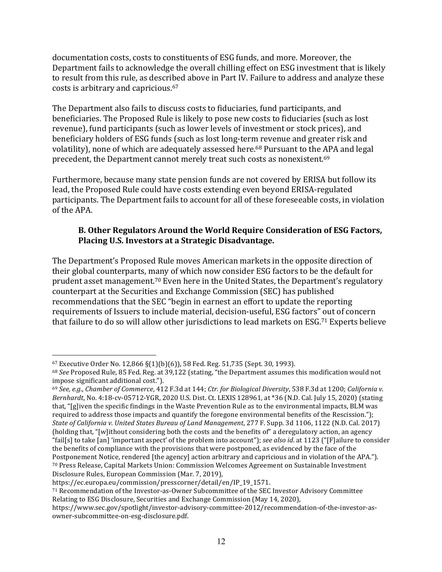documentation costs, costs to constituents of ESG funds, and more. Moreover, the Department fails to acknowledge the overall chilling effect on ESG investment that is likely to result from this rule, as described above in Part IV. Failure to address and analyze these costs is arbitrary and capricious.<sup>67</sup>

The Department also fails to discuss costs to fiduciaries, fund participants, and beneficiaries. The Proposed Rule is likely to pose new costs to fiduciaries (such as lost revenue), fund participants (such as lower levels of investment or stock prices), and beneficiary holders of ESG funds (such as lost long-term revenue and greater risk and volatility), none of which are adequately assessed here.<sup>68</sup> Pursuant to the APA and legal precedent, the Department cannot merely treat such costs as nonexistent.<sup>69</sup>

Furthermore, because many state pension funds are not covered by ERISA but follow its lead, the Proposed Rule could have costs extending even beyond ERISA-regulated participants. The Department fails to account for all of these foreseeable costs, in violation of the APA.

### **B. Other Regulators Around the World Require Consideration of ESG Factors,** Placing U.S. Investors at a Strategic Disadvantage.

The Department's Proposed Rule moves American markets in the opposite direction of their global counterparts, many of which now consider ESG factors to be the default for prudent asset management.<sup>70</sup> Even here in the United States, the Department's regulatory counterpart at the Securities and Exchange Commission (SEC) has published recommendations that the SEC "begin in earnest an effort to update the reporting requirements of Issuers to include material, decision-useful, ESG factors" out of concern that failure to do so will allow other jurisdictions to lead markets on ESG.<sup>71</sup> Experts believe

 $67$  Executive Order No. 12,866 §(1)(b)(6)), 58 Fed. Reg. 51,735 (Sept. 30, 1993).

<sup>&</sup>lt;sup>68</sup> See Proposed Rule, 85 Fed. Reg. at 39,122 (stating, "the Department assumes this modification would not impose significant additional cost.").

<sup>69</sup> See, e.g., Chamber of Commerce, 412 F.3d at 144; Ctr. for Biological Diversity, 538 F.3d at 1200; California v. *Bernhardt*, No. 4:18-cv-05712-YGR, 2020 U.S. Dist. Ct. LEXIS 128961, at \*36 (N.D. Cal. July 15, 2020) (stating that, "[g]iven the specific findings in the Waste Prevention Rule as to the environmental impacts, BLM was required to address those impacts and quantify the foregone environmental benefits of the Rescission."); *State of California v. United States Bureau of Land Management, 277 F. Supp.* 3d 1106, 1122 (N.D. Cal. 2017) (holding that, "[w]ithout considering both the costs and the benefits of" a deregulatory action, an agency "fail[s] to take  $\lceil$ an] 'important aspect' of the problem into account"); *see also id.* at 1123 (" $\lceil$ F]ailure to consider the benefits of compliance with the provisions that were postponed, as evidenced by the face of the Postponement Notice, rendered [the agency] action arbitrary and capricious and in violation of the APA."). 70 Press Release, Capital Markets Union: Commission Welcomes Agreement on Sustainable Investment Disclosure Rules, European Commission (Mar. 7, 2019),

https://ec.europa.eu/commission/presscorner/detail/en/IP\_19\_1571.

<sup>71</sup> Recommendation of the Investor-as-Owner Subcommittee of the SEC Investor Advisory Committee Relating to ESG Disclosure, Securities and Exchange Commission (May 14, 2020),

https://www.sec.gov/spotlight/investor-advisory-committee-2012/recommendation-of-the-investor-asowner-subcommittee-on-esg-disclosure.pdf.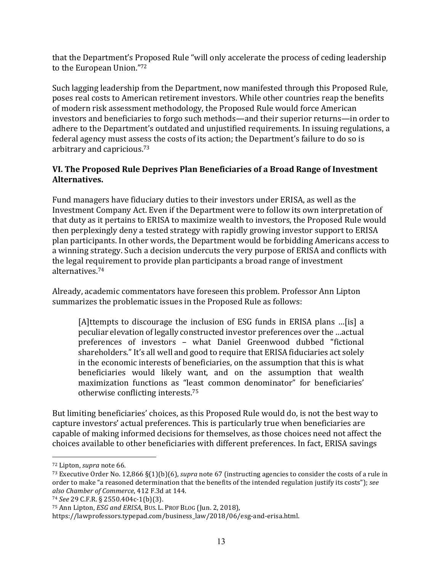that the Department's Proposed Rule "will only accelerate the process of ceding leadership to the European Union."72

Such lagging leadership from the Department, now manifested through this Proposed Rule, poses real costs to American retirement investors. While other countries reap the benefits of modern risk assessment methodology, the Proposed Rule would force American investors and beneficiaries to forgo such methods—and their superior returns—in order to adhere to the Department's outdated and unjustified requirements. In issuing regulations, a federal agency must assess the costs of its action; the Department's failure to do so is arbitrary and capricious.<sup>73</sup>

# **VI. The Proposed Rule Deprives Plan Beneficiaries of a Broad Range of Investment Alternatives.**

Fund managers have fiduciary duties to their investors under ERISA, as well as the Investment Company Act. Even if the Department were to follow its own interpretation of that duty as it pertains to ERISA to maximize wealth to investors, the Proposed Rule would then perplexingly deny a tested strategy with rapidly growing investor support to ERISA plan participants. In other words, the Department would be forbidding Americans access to a winning strategy. Such a decision undercuts the very purpose of ERISA and conflicts with the legal requirement to provide plan participants a broad range of investment alternatives.74

Already, academic commentators have foreseen this problem. Professor Ann Lipton summarizes the problematic issues in the Proposed Rule as follows:

[A]ttempts to discourage the inclusion of ESG funds in ERISA plans ...[is] a peculiar elevation of legally constructed investor preferences over the …actual preferences of investors - what Daniel Greenwood dubbed "fictional shareholders." It's all well and good to require that ERISA fiduciaries act solely in the economic interests of beneficiaries, on the assumption that this is what beneficiaries would likely want, and on the assumption that wealth maximization functions as "least common denominator" for beneficiaries' otherwise conflicting interests.<sup>75</sup>

But limiting beneficiaries' choices, as this Proposed Rule would do, is not the best way to capture investors' actual preferences. This is particularly true when beneficiaries are capable of making informed decisions for themselves, as those choices need not affect the choices available to other beneficiaries with different preferences. In fact, ERISA savings

<sup>&</sup>lt;sup>72</sup> Lipton, *supra* note 66.

 $^{73}$  Executive Order No. 12,866  $\S(1)(b)(6)$ , *supra* note 67 (instructing agencies to consider the costs of a rule in order to make "a reasoned determination that the benefits of the intended regulation justify its costs"); see *also Chamber of Commerce*, 412 F.3d at 144.

<sup>74</sup> *See* 29 C.F.R. § 2550.404c-1(b)(3).

<sup>&</sup>lt;sup>75</sup> Ann Lipton, *ESG and ERISA*, Bus. L. PROF BLOG (Jun. 2, 2018),

https://lawprofessors.typepad.com/business\_law/2018/06/esg-and-erisa.html.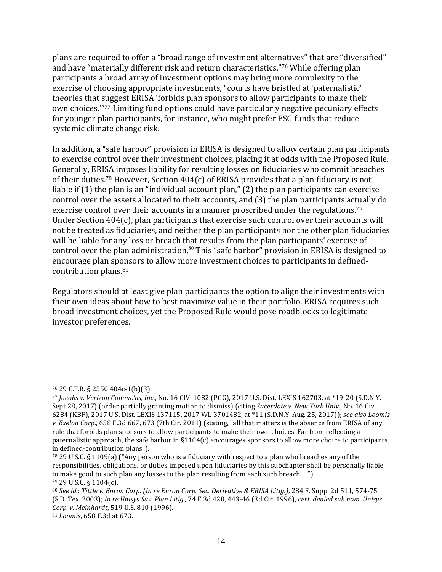plans are required to offer a "broad range of investment alternatives" that are "diversified" and have "materially different risk and return characteristics."<sup>76</sup> While offering plan participants a broad array of investment options may bring more complexity to the exercise of choosing appropriate investments, "courts have bristled at 'paternalistic' theories that suggest ERISA 'forbids plan sponsors to allow participants to make their own choices."<sup>77</sup> Limiting fund options could have particularly negative pecuniary effects for younger plan participants, for instance, who might prefer ESG funds that reduce systemic climate change risk.

In addition, a "safe harbor" provision in ERISA is designed to allow certain plan participants to exercise control over their investment choices, placing it at odds with the Proposed Rule. Generally, ERISA imposes liability for resulting losses on fiduciaries who commit breaches of their duties.<sup>78</sup> However, Section  $404(c)$  of ERISA provides that a plan fiduciary is not liable if  $(1)$  the plan is an "individual account plan,"  $(2)$  the plan participants can exercise control over the assets allocated to their accounts, and (3) the plan participants actually do exercise control over their accounts in a manner proscribed under the regulations.<sup>79</sup> Under Section  $404(c)$ , plan participants that exercise such control over their accounts will not be treated as fiduciaries, and neither the plan participants nor the other plan fiduciaries will be liable for any loss or breach that results from the plan participants' exercise of control over the plan administration. $80$  This "safe harbor" provision in ERISA is designed to encourage plan sponsors to allow more investment choices to participants in definedcontribution plans.<sup>81</sup>

Regulators should at least give plan participants the option to align their investments with their own ideas about how to best maximize value in their portfolio. ERISA requires such broad investment choices, yet the Proposed Rule would pose roadblocks to legitimate investor preferences.

 $\overline{a}$ 

<sup>81</sup> *Loomis*, 658 F.3d at 673.

<sup>76</sup> 29 C.F.R. § 2550.404c-1(b)(3).

<sup>77</sup> *Jacobs v. Verizon Commc'ns, Inc., No.* 16 CIV. 1082 (PGG), 2017 U.S. Dist. LEXIS 162703, at \*19-20 (S.D.N.Y. Sept 28, 2017) (order partially granting motion to dismiss) (citing *Sacerdote v. New York Univ.*, No. 16 Civ. 6284 (KBF), 2017 U.S. Dist. LEXIS 137115, 2017 WL 3701482, at \*11 (S.D.N.Y. Aug. 25, 2017)); see also Loomis *v.* Exelon Corp., 658 F.3d 667, 673 (7th Cir. 2011) (stating, "all that matters is the absence from ERISA of any rule that forbids plan sponsors to allow participants to make their own choices. Far from reflecting a paternalistic approach, the safe harbor in  $\S1104(c)$  encourages sponsors to allow more choice to participants in defined-contribution plans").

<sup>78 29</sup> U.S.C. § 1109(a) ("Any person who is a fiduciary with respect to a plan who breaches any of the responsibilities, obligations, or duties imposed upon fiduciaries by this subchapter shall be personally liable to make good to such plan any losses to the plan resulting from each such breach. ..").  $79$  29 U.S.C. § 1104(c).

<sup>80</sup> See id.; Tittle v. Enron Corp. (In re Enron Corp. Sec. Derivative & ERISA Litig.), 284 F. Supp. 2d 511, 574-75 (S.D. Tex. 2003); In re Unisys Sav. Plan Litig., 74 F.3d 420, 443-46 (3d Cir. 1996), cert. denied sub nom. Unisys *Corp. v. Meinhardt*, 519 U.S. 810 (1996).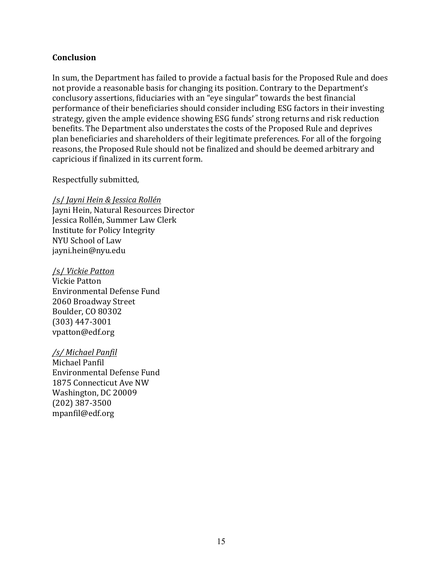#### **Conclusion**

In sum, the Department has failed to provide a factual basis for the Proposed Rule and does not provide a reasonable basis for changing its position. Contrary to the Department's conclusory assertions, fiduciaries with an "eye singular" towards the best financial performance of their beneficiaries should consider including ESG factors in their investing strategy, given the ample evidence showing ESG funds' strong returns and risk reduction benefits. The Department also understates the costs of the Proposed Rule and deprives plan beneficiaries and shareholders of their legitimate preferences. For all of the forgoing reasons, the Proposed Rule should not be finalized and should be deemed arbitrary and capricious if finalized in its current form.

Respectfully submitted,

/s/ *Jayni Hein & Jessica Rollén* Jayni Hein, Natural Resources Director Jessica Rollén, Summer Law Clerk Institute for Policy Integrity NYU School of Law jayni.hein@nyu.edu

/s/ *Vickie Patton* Vickie Patton Environmental Defense Fund 2060 Broadway Street Boulder, CO 80302 (303) 447-3001 vpatton@edf.org

*/s/ Michael Panfil*

Michael Panfil Environmental Defense Fund 1875 Connecticut Ave NW Washington, DC 20009 (202) 387-3500 mpanfil@edf.org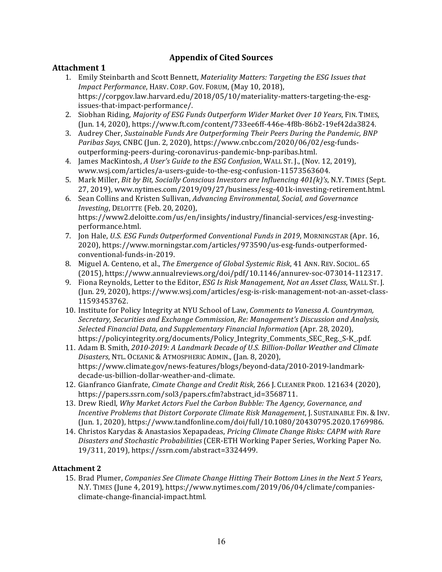### **Appendix of Cited Sources**

#### **Attachment 1**

- 1. Emily Steinbarth and Scott Bennett, *Materiality Matters: Targeting the ESG Issues that Impact Performance*, HARV. CORP. GOV. FORUM, (May 10, 2018), https://corpgov.law.harvard.edu/2018/05/10/materiality-matters-targeting-the-esgissues-that-impact-performance/.
- 2. Siobhan Riding, *Majority of ESG Funds Outperform Wider Market Over 10 Years*, FIN. TIMES, (Jun. 14, 2020), https://www.ft.com/content/733ee6ff-446e-4f8b-86b2-19ef42da3824.
- 3. Audrey Cher, *Sustainable Funds Are Outperforming Their Peers During the Pandemic, BNP* Paribas Says, CNBC (Jun. 2, 2020), https://www.cnbc.com/2020/06/02/esg-fundsoutperforming-peers-during-coronavirus-pandemic-bnp-paribas.html.
- 4. James MacKintosh, *A User's Guide to the ESG Confusion*, WALL ST. J., (Nov. 12, 2019), www.wsj.com/articles/a-users-guide-to-the-esg-confusion-11573563604.
- 5. Mark Miller, *Bit by Bit, Socially Conscious Investors are Influencing 401(k)'s*, N.Y. TIMES (Sept. 27, 2019), www.nytimes.com/2019/09/27/business/esg-401k-investing-retirement.html.
- 6. Sean Collins and Kristen Sullivan, *Advancing Environmental, Social, and Governance Investing*, DELOITTE (Feb. 20, 2020), https://www2.deloitte.com/us/en/insights/industry/financial-services/esg-investingperformance.html.
- 7. Jon Hale, *U.S. ESG Funds Outperformed Conventional Funds in 2019*, MORNINGSTAR (Apr. 16, 2020), https://www.morningstar.com/articles/973590/us-esg-funds-outperformedconventional-funds-in-2019.
- 8. Miguel A. Centeno, et al., *The Emergence of Global Systemic Risk*, 41 ANN. REV. SOCIOL. 65 (2015), https://www.annualreviews.org/doi/pdf/10.1146/annurev-soc-073014-112317.
- 9. Fiona Reynolds, Letter to the Editor, *ESG Is Risk Management, Not an Asset Class*, WALL ST. J. (Jun. 29, 2020), https://www.wsj.com/articles/esg-is-risk-management-not-an-asset-class-11593453762.
- 10. Institute for Policy Integrity at NYU School of Law, *Comments to Vanessa A. Countryman*, Secretary, Securities and Exchange Commission, Re: Management's Discussion and Analysis, *Selected Financial Data, and Supplementary Financial Information* (Apr. 28, 2020), https://policyintegrity.org/documents/Policy\_Integrity\_Comments\_SEC\_Reg.\_S-K\_.pdf.
- 11. Adam B. Smith, 2010-2019: A Landmark Decade of U.S. Billion-Dollar Weather and Climate Disasters, NTL. OCEANIC & ATMOSPHERIC ADMIN., (Jan. 8, 2020), https://www.climate.gov/news-features/blogs/beyond-data/2010-2019-landmarkdecade-us-billion-dollar-weather-and-climate.
- 12. Gianfranco Gianfrate, *Cimate Change and Credit Risk*, 266 J. CLEANER PROD. 121634 (2020), https://papers.ssrn.com/sol3/papers.cfm?abstract\_id=3568711.
- 13. Drew Riedl, *Why Market Actors Fuel the Carbon Bubble: The Agency, Governance, and Incentive Problems that Distort Corporate Climate Risk Management*, J. SUSTAINABLE FIN. & INV. (Jun. 1, 2020), https://www.tandfonline.com/doi/full/10.1080/20430795.2020.1769986.
- 14. Christos Karydas & Anastasios Xepapadeas, *Pricing Climate Change Risks: CAPM with Rare Disasters and Stochastic Probabilities* (CER-ETH Working Paper Series, Working Paper No. 19/311, 2019), https://ssrn.com/abstract=3324499.

#### **Attachment 2**

15. Brad Plumer, *Companies See Climate Change Hitting Their Bottom Lines in the Next 5 Years*, N.Y. TIMES (June 4, 2019), https://www.nytimes.com/2019/06/04/climate/companiesclimate-change-financial-impact.html.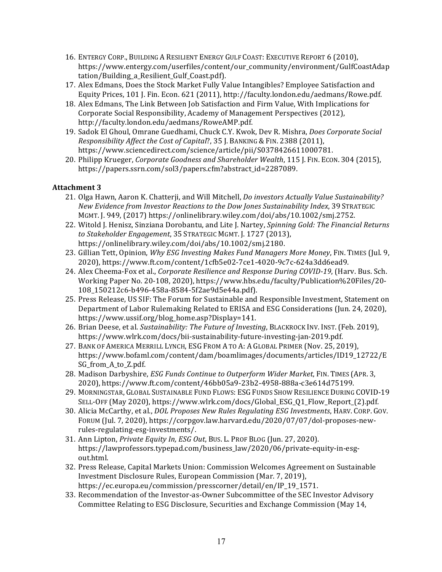- 16. ENTERGY CORP., BUILDING A RESILIENT ENERGY GULF COAST: EXECUTIVE REPORT 6 (2010), https://www.entergy.com/userfiles/content/our\_community/environment/GulfCoastAdap tation/Building\_a\_Resilient\_Gulf\_Coast.pdf).
- 17. Alex Edmans, Does the Stock Market Fully Value Intangibles? Employee Satisfaction and Equity Prices, 101 J. Fin. Econ. 621 (2011), http://faculty.london.edu/aedmans/Rowe.pdf.
- 18. Alex Edmans, The Link Between Job Satisfaction and Firm Value, With Implications for Corporate Social Responsibility, Academy of Management Perspectives (2012), http://faculty.london.edu/aedmans/RoweAMP.pdf.
- 19. Sadok El Ghoul, Omrane Guedhami, Chuck C.Y. Kwok, Dev R. Mishra, *Does Corporate Social Responsibility Affect the Cost of Capital*?, 35 J. BANKING & FIN. 2388 (2011), https://www.sciencedirect.com/science/article/pii/S0378426611000781.
- 20. Philipp Krueger, *Corporate Goodness and Shareholder Wealth*, 115 J. FIN. ECON. 304 (2015), https://papers.ssrn.com/sol3/papers.cfm?abstract\_id=2287089.

#### **Attachment 3**

- 21. Olga Hawn, Aaron K. Chatterji, and Will Mitchell, *Do investors Actually Value Sustainability? New Evidence from Investor Reactions to the Dow Jones Sustainability Index, 39 STRATEGIC* MGMT.  $I. 949$ ,  $(2017)$  https://onlinelibrary.wiley.com/doi/abs/10.1002/smj.2752.
- 22. Witold J. Henisz, Sinziana Dorobantu, and Lite J. Nartey, *Spinning Gold: The Financial Returns to Stakeholder Engagement*, 35 STRATEGIC MGMT. J. 1727 (2013), https://onlinelibrary.wiley.com/doi/abs/10.1002/smj.2180.
- 23. Gillian Tett, Opinion, *Why ESG Investing Makes Fund Managers More Money*, FIN. TIMES (Jul. 9, 2020), https://www.ft.com/content/1cfb5e02-7ce1-4020-9c7c-624a3dd6ead9.
- 24. Alex Cheema-Fox et al., *Corporate Resilience and Response During COVID-19*, (Harv. Bus. Sch. Working Paper No. 20-108, 2020), https://www.hbs.edu/faculty/Publication%20Files/20-108\_150212c6-b496-458a-8584-5f2ae9d5e44a.pdf).
- 25. Press Release, US SIF: The Forum for Sustainable and Responsible Investment, Statement on Department of Labor Rulemaking Related to ERISA and ESG Considerations (Jun. 24, 2020), https://www.ussif.org/blog\_home.asp?Display=141.
- 26. Brian Deese, et al. *Sustainability: The Future of Investing*, BLACKROCK INV. INST. (Feb. 2019), https://www.wlrk.com/docs/bii-sustainability-future-investing-jan-2019.pdf.
- 27. BANK OF AMERICA MERRILL LYNCH, ESG FROM A TO A: A GLOBAL PRIMER (Nov. 25, 2019), https://www.bofaml.com/content/dam/boamlimages/documents/articles/ID19\_12722/E SG\_from\_A\_to\_Z.pdf.
- 28. Madison Darbyshire, *ESG Funds Continue to Outperform Wider Market*, FIN. TIMES (APR. 3, 2020), https://www.ft.com/content/46bb05a9-23b2-4958-888a-c3e614d75199.
- 29. MORNINGSTAR, GLOBAL SUSTAINABLE FUND FLOWS: ESG FUNDS SHOW RESILIENCE DURING COVID-19 SELL-OFF (May 2020), https://www.wlrk.com/docs/Global\_ESG\_Q1\_Flow\_Report\_(2).pdf.
- 30. Alicia McCarthy, et al., *DOL Proposes New Rules Regulating ESG Investments*, HARV. CORP. GOV. FORUM (Jul. 7, 2020), https://corpgov.law.harvard.edu/2020/07/07/dol-proposes-newrules-regulating-esg-investments/.
- 31. Ann Lipton, *Private Equity In, ESG Out*, Bus. L. PROF BLOG (Jun. 27, 2020). https://lawprofessors.typepad.com/business\_law/2020/06/private-equity-in-esgout.html.
- 32. Press Release, Capital Markets Union: Commission Welcomes Agreement on Sustainable Investment Disclosure Rules, European Commission (Mar. 7, 2019), https://ec.europa.eu/commission/presscorner/detail/en/IP\_19\_1571.
- 33. Recommendation of the Investor-as-Owner Subcommittee of the SEC Investor Advisory Committee Relating to ESG Disclosure, Securities and Exchange Commission (May 14,